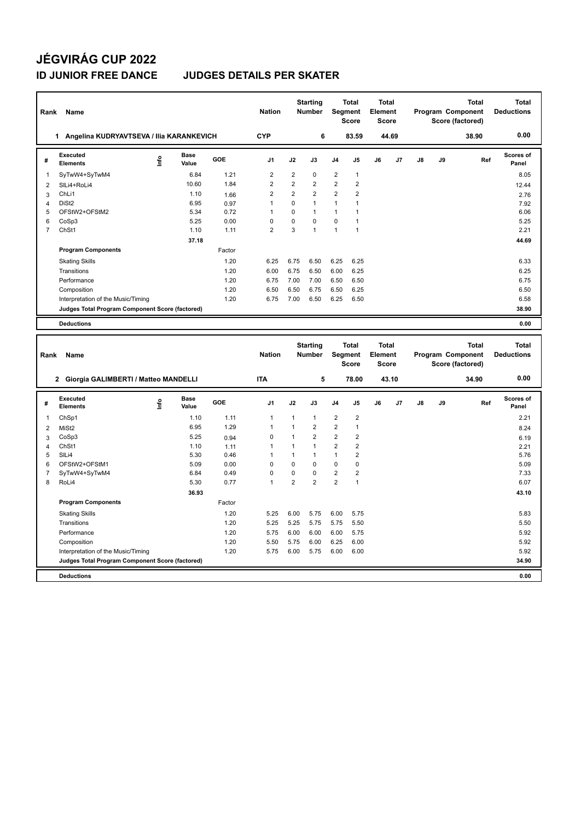## **JÉGVIRÁG CUP 2022**

### **ID JUNIOR FREE DANCE JUDGES DETAILS PER SKATER**

| Rank           | Name                                            |                       |        | <b>Nation</b>  |                | <b>Starting</b><br><b>Number</b> | Segment        | <b>Total</b><br><b>Score</b> | Total<br>Element<br><b>Score</b>        |                |               |    | Total<br>Program Component<br>Score (factored)        | Total<br><b>Deductions</b> |
|----------------|-------------------------------------------------|-----------------------|--------|----------------|----------------|----------------------------------|----------------|------------------------------|-----------------------------------------|----------------|---------------|----|-------------------------------------------------------|----------------------------|
|                | Angelina KUDRYAVTSEVA / Ilia KARANKEVICH<br>1   |                       |        | <b>CYP</b>     |                | 6                                |                | 83.59                        | 44.69                                   |                |               |    | 38.90                                                 | 0.00                       |
| #              | Executed<br><b>Elements</b>                     | Base<br>١nf٥<br>Value | GOE    | J <sub>1</sub> | J2             | J3                               | J <sub>4</sub> | J <sub>5</sub>               | J6                                      | J <sub>7</sub> | $\mathsf{J}8$ | J9 | Ref                                                   | <b>Scores of</b><br>Panel  |
| $\mathbf{1}$   | SyTwW4+SyTwM4                                   | 6.84                  | 1.21   | 2              | $\overline{2}$ | 0                                | $\overline{2}$ | $\mathbf{1}$                 |                                         |                |               |    |                                                       | 8.05                       |
| 2              | SILi4+RoLi4                                     | 10.60                 | 1.84   | $\overline{2}$ | $\overline{2}$ | $\overline{2}$                   | $\overline{2}$ | $\overline{2}$               |                                         |                |               |    |                                                       | 12.44                      |
| 3              | ChLi1                                           | 1.10                  | 1.66   | $\overline{2}$ | $\overline{2}$ | $\overline{2}$                   | $\overline{2}$ | $\overline{2}$               |                                         |                |               |    |                                                       | 2.76                       |
| $\overline{4}$ | DiSt <sub>2</sub>                               | 6.95                  | 0.97   | $\overline{1}$ | $\Omega$       | 1                                | $\mathbf{1}$   | $\mathbf{1}$                 |                                         |                |               |    |                                                       | 7.92                       |
| 5              | OFStW2+OFStM2                                   | 5.34                  | 0.72   | $\overline{1}$ | $\Omega$       | 1                                | $\mathbf{1}$   | $\mathbf{1}$                 |                                         |                |               |    |                                                       | 6.06                       |
| 6              | CoSp3                                           | 5.25                  | 0.00   | $\Omega$       | $\Omega$       | $\Omega$                         | $\Omega$       | 1                            |                                         |                |               |    |                                                       | 5.25                       |
| $\overline{7}$ | ChSt1                                           | 1.10                  | 1.11   | $\overline{2}$ | 3              | $\overline{1}$                   | $\overline{1}$ | $\mathbf{1}$                 |                                         |                |               |    |                                                       | 2.21                       |
|                |                                                 | 37.18                 |        |                |                |                                  |                |                              |                                         |                |               |    |                                                       | 44.69                      |
|                | <b>Program Components</b>                       |                       | Factor |                |                |                                  |                |                              |                                         |                |               |    |                                                       |                            |
|                | <b>Skating Skills</b>                           |                       | 1.20   | 6.25           | 6.75           | 6.50                             | 6.25           | 6.25                         |                                         |                |               |    |                                                       | 6.33                       |
|                | Transitions                                     |                       | 1.20   | 6.00           | 6.75           | 6.50                             | 6.00           | 6.25                         |                                         |                |               |    |                                                       | 6.25                       |
|                | Performance                                     |                       | 1.20   | 6.75           | 7.00           | 7.00                             | 6.50           | 6.50                         |                                         |                |               |    |                                                       | 6.75                       |
|                | Composition                                     |                       | 1.20   | 6.50           | 6.50           | 6.75                             | 6.50           | 6.25                         |                                         |                |               |    |                                                       | 6.50                       |
|                | Interpretation of the Music/Timing              |                       | 1.20   | 6.75           | 7.00           | 6.50                             | 6.25           | 6.50                         |                                         |                |               |    |                                                       | 6.58                       |
|                | Judges Total Program Component Score (factored) |                       |        |                |                |                                  |                |                              |                                         |                |               |    |                                                       | 38.90                      |
|                | <b>Deductions</b>                               |                       |        |                |                |                                  |                |                              |                                         |                |               |    |                                                       | 0.00                       |
|                |                                                 |                       |        |                |                |                                  |                |                              |                                         |                |               |    |                                                       |                            |
| Rank           | <b>Name</b>                                     |                       |        | <b>Nation</b>  |                | <b>Starting</b><br><b>Number</b> | Segment        | <b>Total</b><br><b>Score</b> | <b>Total</b><br>Element<br><b>Score</b> |                |               |    | <b>Total</b><br>Program Component<br>Score (factored) | Total<br><b>Deductions</b> |
|                | 2 Giorgia GALIMBERTI / Matteo MANDELLI          |                       |        | <b>ITA</b>     |                | 5                                |                | 78.00                        | 43.10                                   |                |               |    | 34.90                                                 | 0.00                       |
|                |                                                 |                       |        |                |                |                                  |                |                              |                                         |                |               |    |                                                       |                            |

| # | Executed<br><b>Elements</b>                     | ۴ | <b>Base</b><br>Value | <b>GOE</b> | J <sub>1</sub> | J2             | J3             | J <sub>4</sub> | J <sub>5</sub> | J6 | J7 | J8 | J9 | Ref | Scores of<br>Panel |
|---|-------------------------------------------------|---|----------------------|------------|----------------|----------------|----------------|----------------|----------------|----|----|----|----|-----|--------------------|
| 1 | ChSp1                                           |   | 1.10                 | 1.11       | $\overline{1}$ | 1              | $\mathbf{1}$   | $\overline{2}$ | $\overline{2}$ |    |    |    |    |     | 2.21               |
| 2 | MiSt <sub>2</sub>                               |   | 6.95                 | 1.29       |                |                | $\overline{2}$ | $\overline{2}$ | $\overline{1}$ |    |    |    |    |     | 8.24               |
| 3 | CoSp3                                           |   | 5.25                 | 0.94       | 0              |                | $\overline{2}$ | $\overline{2}$ | 2              |    |    |    |    |     | 6.19               |
| 4 | ChSt1                                           |   | 1.10                 | 1.11       |                |                | $\overline{1}$ | 2              | $\overline{2}$ |    |    |    |    |     | 2.21               |
| 5 | SILi4                                           |   | 5.30                 | 0.46       |                |                | $\mathbf 1$    | 1              | 2              |    |    |    |    |     | 5.76               |
| 6 | OFStW2+OFStM1                                   |   | 5.09                 | 0.00       | 0              | $\Omega$       | $\Omega$       | 0              | 0              |    |    |    |    |     | 5.09               |
|   | SyTwW4+SyTwM4                                   |   | 6.84                 | 0.49       | $\mathbf 0$    | 0              | $\Omega$       | $\overline{2}$ | $\overline{2}$ |    |    |    |    |     | 7.33               |
| 8 | RoLi4                                           |   | 5.30                 | 0.77       | $\mathbf{1}$   | $\overline{2}$ | $\overline{2}$ | $\overline{2}$ | 1              |    |    |    |    |     | 6.07               |
|   |                                                 |   | 36.93                |            |                |                |                |                |                |    |    |    |    |     | 43.10              |
|   | <b>Program Components</b>                       |   |                      | Factor     |                |                |                |                |                |    |    |    |    |     |                    |
|   | <b>Skating Skills</b>                           |   |                      | 1.20       | 5.25           | 6.00           | 5.75           | 6.00           | 5.75           |    |    |    |    |     | 5.83               |
|   | Transitions                                     |   |                      | 1.20       | 5.25           | 5.25           | 5.75           | 5.75           | 5.50           |    |    |    |    |     | 5.50               |
|   | Performance                                     |   |                      | 1.20       | 5.75           | 6.00           | 6.00           | 6.00           | 5.75           |    |    |    |    |     | 5.92               |
|   | Composition                                     |   |                      | 1.20       | 5.50           | 5.75           | 6.00           | 6.25           | 6.00           |    |    |    |    |     | 5.92               |
|   | Interpretation of the Music/Timing              |   |                      | 1.20       | 5.75           | 6.00           | 5.75           | 6.00           | 6.00           |    |    |    |    |     | 5.92               |
|   | Judges Total Program Component Score (factored) |   |                      |            |                |                |                |                |                |    |    |    |    |     | 34.90              |
|   | <b>Deductions</b>                               |   |                      |            |                |                |                |                |                |    |    |    |    |     | 0.00               |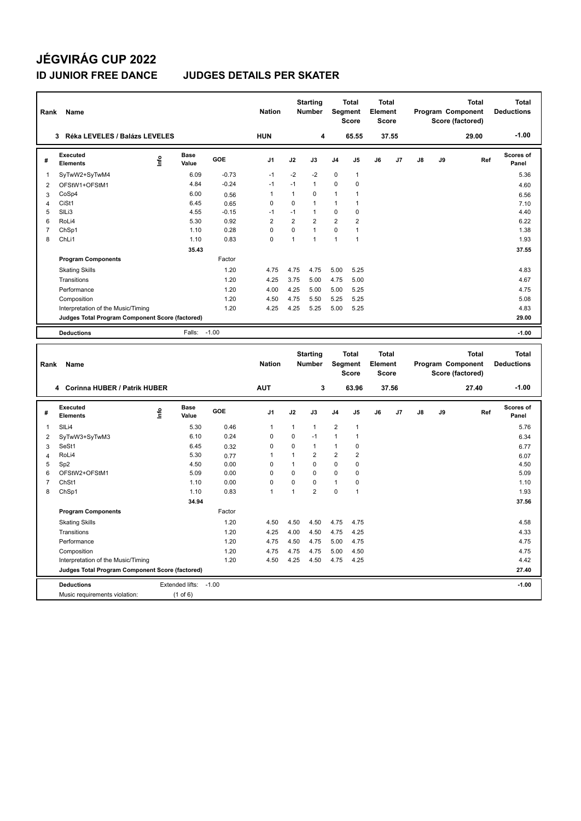## **JÉGVIRÁG CUP 2022**

#### **ID JUNIOR FREE DANCE JUDGES DETAILS PER SKATER**

| Rank           | Name                                                                 |      |                       |         | <b>Nation</b>  |                | <b>Starting</b><br><b>Number</b> |                | <b>Total</b><br>Segment<br><b>Score</b> | <b>Total</b><br>Element<br><b>Score</b> |       |    |    | Program Component<br>Score (factored) | <b>Total</b> | <b>Total</b><br><b>Deductions</b> |
|----------------|----------------------------------------------------------------------|------|-----------------------|---------|----------------|----------------|----------------------------------|----------------|-----------------------------------------|-----------------------------------------|-------|----|----|---------------------------------------|--------------|-----------------------------------|
|                | 3 Réka LEVELES / Balázs LEVELES                                      |      |                       |         | <b>HUN</b>     |                | 4                                |                | 65.55                                   |                                         | 37.55 |    |    | 29.00                                 |              | $-1.00$                           |
| #              | Executed<br><b>Elements</b>                                          | ١nf٥ | <b>Base</b><br>Value  | GOE     | J <sub>1</sub> | J2             | J3                               | J4             | J5                                      | J6                                      | J7    | J8 | J9 |                                       | Ref          | Scores of<br>Panel                |
| 1              | SyTwW2+SyTwM4                                                        |      | 6.09                  | $-0.73$ | $-1$           | $-2$           | $-2$                             | $\mathbf 0$    | $\mathbf{1}$                            |                                         |       |    |    |                                       |              | 5.36                              |
| $\overline{2}$ | OFStW1+OFStM1                                                        |      | 4.84                  | $-0.24$ | $-1$           | $-1$           | $\mathbf{1}$                     | 0              | $\pmb{0}$                               |                                         |       |    |    |                                       |              | 4.60                              |
| 3              | CoSp4                                                                |      | 6.00                  | 0.56    | $\mathbf{1}$   | $\mathbf{1}$   | 0                                | 1              | $\mathbf{1}$                            |                                         |       |    |    |                                       |              | 6.56                              |
| $\overline{4}$ | CiSt1                                                                |      | 6.45                  | 0.65    | $\mathbf 0$    | $\mathbf 0$    | $\mathbf{1}$                     | 1              | 1                                       |                                         |       |    |    |                                       |              | 7.10                              |
| 5              | SILi3                                                                |      | 4.55                  | $-0.15$ | $-1$           | $-1$           | $\mathbf{1}$                     | 0              | $\mathbf 0$                             |                                         |       |    |    |                                       |              | 4.40                              |
| 6              | RoLi4                                                                |      | 5.30                  | 0.92    | $\overline{2}$ | $\overline{2}$ | 2                                | $\overline{2}$ | $\overline{2}$                          |                                         |       |    |    |                                       |              | 6.22                              |
| $\overline{7}$ | ChSp1                                                                |      | 1.10                  | 0.28    | $\mathbf 0$    | $\mathbf 0$    | $\mathbf{1}$                     | 0              | $\mathbf{1}$                            |                                         |       |    |    |                                       |              | 1.38                              |
| 8              | ChL <sub>i1</sub>                                                    |      | 1.10                  | 0.83    | $\Omega$       | $\mathbf{1}$   | $\mathbf{1}$                     | 1              | $\mathbf{1}$                            |                                         |       |    |    |                                       |              | 1.93                              |
|                |                                                                      |      | 35.43                 |         |                |                |                                  |                |                                         |                                         |       |    |    |                                       |              | 37.55                             |
|                | <b>Program Components</b>                                            |      |                       | Factor  |                |                |                                  |                |                                         |                                         |       |    |    |                                       |              |                                   |
|                | <b>Skating Skills</b>                                                |      |                       | 1.20    | 4.75           | 4.75           | 4.75                             | 5.00           | 5.25                                    |                                         |       |    |    |                                       |              | 4.83                              |
|                | Transitions                                                          |      |                       | 1.20    | 4.25           | 3.75           | 5.00                             | 4.75           | 5.00                                    |                                         |       |    |    |                                       |              | 4.67                              |
|                | Performance                                                          |      |                       | 1.20    | 4.00           | 4.25           | 5.00                             | 5.00           | 5.25                                    |                                         |       |    |    |                                       |              | 4.75                              |
|                | Composition                                                          |      |                       | 1.20    | 4.50           | 4.75           | 5.50                             | 5.25           | 5.25                                    |                                         |       |    |    |                                       |              | 5.08                              |
|                | Interpretation of the Music/Timing                                   |      |                       | 1.20    | 4.25           | 4.25           | 5.25                             | 5.00           | 5.25                                    |                                         |       |    |    |                                       |              | 4.83                              |
|                | Judges Total Program Component Score (factored)                      |      |                       |         |                |                |                                  |                |                                         |                                         |       |    |    |                                       |              | 29.00                             |
|                |                                                                      |      |                       |         |                |                |                                  |                |                                         |                                         |       |    |    |                                       |              |                                   |
|                | <b>Deductions</b>                                                    |      | Falls:                | $-1.00$ |                |                |                                  |                |                                         |                                         |       |    |    |                                       |              | $-1.00$                           |
|                |                                                                      |      |                       |         |                |                |                                  |                |                                         |                                         |       |    |    |                                       |              |                                   |
| Rank           | Name                                                                 |      |                       |         | <b>Nation</b>  |                | <b>Starting</b><br><b>Number</b> |                | Total<br>Segment<br><b>Score</b>        | <b>Total</b><br>Element<br><b>Score</b> |       |    |    | Program Component<br>Score (factored) | <b>Total</b> | <b>Total</b><br><b>Deductions</b> |
|                | 4 Corinna HUBER / Patrik HUBER                                       |      |                       |         | <b>AUT</b>     |                | 3                                |                | 63.96                                   |                                         | 37.56 |    |    | 27.40                                 |              | $-1.00$                           |
| #              | Executed<br><b>Elements</b>                                          | ١nf٥ | <b>Base</b><br>Value  | GOE     | J <sub>1</sub> | J2             | J3                               | J4             | J5                                      | J6                                      | J7    | J8 | J9 |                                       | Ref          | Scores of<br>Panel                |
| 1              | SILi4                                                                |      | 5.30                  | 0.46    | $\mathbf{1}$   | $\mathbf{1}$   | 1                                | $\overline{2}$ | $\mathbf{1}$                            |                                         |       |    |    |                                       |              | 5.76                              |
| $\overline{2}$ | SyTwW3+SyTwM3                                                        |      | 6.10                  | 0.24    | $\mathbf 0$    | $\mathbf 0$    | $-1$                             | 1              | $\mathbf{1}$                            |                                         |       |    |    |                                       |              | 6.34                              |
| 3              | SeSt1                                                                |      | 6.45                  | 0.32    | $\mathbf 0$    | 0              | $\mathbf{1}$                     | $\mathbf{1}$   | $\mathbf 0$                             |                                         |       |    |    |                                       |              |                                   |
| 4              | RoLi4                                                                |      | 5.30                  | 0.77    | $\mathbf{1}$   | $\mathbf{1}$   | $\overline{2}$                   | $\overline{2}$ | $\overline{2}$                          |                                         |       |    |    |                                       |              | 6.77<br>6.07                      |
| 5              | Sp <sub>2</sub>                                                      |      | 4.50                  | 0.00    | $\mathbf 0$    | $\mathbf{1}$   | 0                                | 0              | 0                                       |                                         |       |    |    |                                       |              | 4.50                              |
| 6              | OFStW2+OFStM1                                                        |      | 5.09                  | 0.00    | $\mathbf 0$    | $\mathbf 0$    | $\mathbf 0$                      | 0              | $\mathbf 0$                             |                                         |       |    |    |                                       |              | 5.09                              |
| $\overline{7}$ | ChSt1                                                                |      | 1.10                  | 0.00    | $\mathbf 0$    | $\pmb{0}$      | 0                                | 1              | $\pmb{0}$                               |                                         |       |    |    |                                       |              | 1.10                              |
| 8              | ChSp1                                                                |      | 1.10                  | 0.83    | $\mathbf{1}$   | $\mathbf{1}$   | $\overline{2}$                   | 0              | $\mathbf{1}$                            |                                         |       |    |    |                                       |              | 1.93                              |
|                |                                                                      |      | 34.94                 |         |                |                |                                  |                |                                         |                                         |       |    |    |                                       |              | 37.56                             |
|                | <b>Program Components</b>                                            |      |                       | Factor  |                |                |                                  |                |                                         |                                         |       |    |    |                                       |              |                                   |
|                | <b>Skating Skills</b>                                                |      |                       | 1.20    | 4.50           | 4.50           | 4.50                             | 4.75           | 4.75                                    |                                         |       |    |    |                                       |              | 4.58                              |
|                |                                                                      |      |                       |         |                |                |                                  |                |                                         |                                         |       |    |    |                                       |              |                                   |
|                | Transitions                                                          |      |                       | 1.20    | 4.25           | 4.00           | 4.50                             | 4.75           | 4.25                                    |                                         |       |    |    |                                       |              | 4.33                              |
|                | Performance                                                          |      |                       | 1.20    | 4.75           | 4.50           | 4.75                             | 5.00           | 4.75                                    |                                         |       |    |    |                                       |              | 4.75                              |
|                | Composition                                                          |      |                       | 1.20    | 4.75           | 4.75           | 4.75                             | 5.00           | 4.50                                    |                                         |       |    |    |                                       |              | 4.75                              |
|                | Interpretation of the Music/Timing                                   |      |                       | 1.20    | 4.50           | 4.25           | 4.50                             | 4.75           | 4.25                                    |                                         |       |    |    |                                       |              | 4.42<br>27.40                     |
|                | Judges Total Program Component Score (factored)<br><b>Deductions</b> |      | Extended lifts: -1.00 |         |                |                |                                  |                |                                         |                                         |       |    |    |                                       |              | $-1.00$                           |